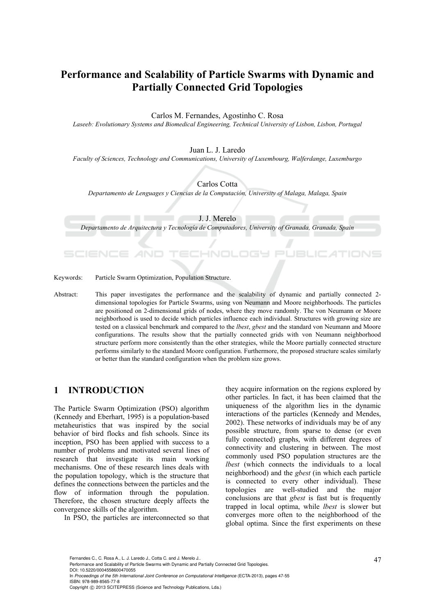# **Performance and Scalability of Particle Swarms with Dynamic and Partially Connected Grid Topologies**

Carlos M. Fernandes, Agostinho C. Rosa

*Laseeb: Evolutionary Systems and Biomedical Engineering, Technical University of Lisbon, Lisbon, Portugal* 

Juan L. J. Laredo

*Faculty of Sciences, Technology and Communications, University of Luxembourg, Walferdange, Luxemburgo* 

Carlos Cotta

*Departamento de Lenguages y Ciencias de la Computación, University of Malaga, Malaga, Spain* 

J. J. Merelo

*Departamento de Arquitectura y Tecnología de Computadores, University of Granada, Granada, Spain* 

Keywords: Particle Swarm Optimization, Population Structure.

Abstract: This paper investigates the performance and the scalability of dynamic and partially connected 2 dimensional topologies for Particle Swarms, using von Neumann and Moore neighborhoods. The particles are positioned on 2-dimensional grids of nodes, where they move randomly. The von Neumann or Moore neighborhood is used to decide which particles influence each individual. Structures with growing size are tested on a classical benchmark and compared to the *lbest*, *gbest* and the standard von Neumann and Moore configurations. The results show that the partially connected grids with von Neumann neighborhood structure perform more consistently than the other strategies, while the Moore partially connected structure performs similarly to the standard Moore configuration. Furthermore, the proposed structure scales similarly or better than the standard configuration when the problem size grows.

# **1 INTRODUCTION**

The Particle Swarm Optimization (PSO) algorithm (Kennedy and Eberhart, 1995) is a population-based metaheuristics that was inspired by the social behavior of bird flocks and fish schools. Since its inception, PSO has been applied with success to a number of problems and motivated several lines of research that investigate its main working mechanisms. One of these research lines deals with the population topology, which is the structure that defines the connections between the particles and the flow of information through the population. Therefore, the chosen structure deeply affects the convergence skills of the algorithm.

In PSO, the particles are interconnected so that

they acquire information on the regions explored by other particles. In fact, it has been claimed that the uniqueness of the algorithm lies in the dynamic interactions of the particles (Kennedy and Mendes, 2002). These networks of individuals may be of any possible structure, from sparse to dense (or even fully connected) graphs, with different degrees of connectivity and clustering in between. The most commonly used PSO population structures are the *lbest* (which connects the individuals to a local neighborhood) and the *gbest* (in which each particle is connected to every other individual). These topologies are well-studied and the major conclusions are that *gbest* is fast but is frequently trapped in local optima, while *lbest* is slower but converges more often to the neighborhood of the global optima. Since the first experiments on these

In *Proceedings of the 5th International Joint Conference on Computational Intelligence* (ECTA-2013), pages 47-55 ISBN: 978-989-8565-77-8

Fernandes C., C. Rosa A., L. J. Laredo J., Cotta C. and J. Merelo J..<br>Performance and Scalability of Particle Swarms with Dynamic and Partially Connected Grid Topologies. DOI: 10.5220/0004558600470055

Copyright © 2013 SCITEPRESS (Science and Technology Publications, Lda.)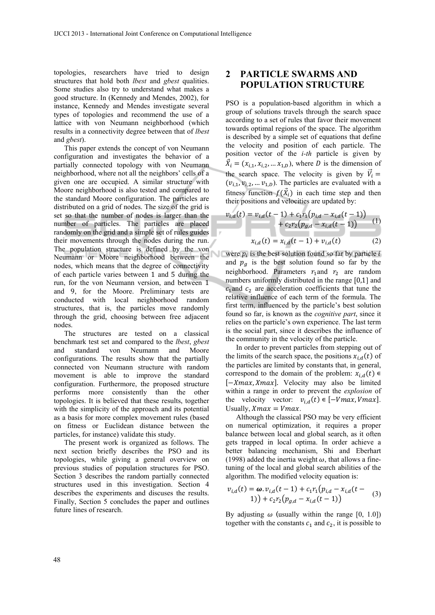topologies, researchers have tried to design structures that hold both *lbest* and *gbest* qualities. Some studies also try to understand what makes a good structure. In (Kennedy and Mendes, 2002), for instance, Kennedy and Mendes investigate several types of topologies and recommend the use of a lattice with von Neumann neighborhood (which results in a connectivity degree between that of *lbest* and *gbest*).

This paper extends the concept of von Neumann configuration and investigates the behavior of a partially connected topology with von Neumann neighborhood, where not all the neighbors' cells of a given one are occupied. A similar structure with Moore neighborhood is also tested and compared to the standard Moore configuration. The particles are distributed on a grid of nodes. The size of the grid is set so that the number of nodes is larger than the number of particles. The particles are placed randomly on the grid and a simple set of rules guides their movements through the nodes during the run. The population structure is defined by the von Neumann or Moore neighborhood between the nodes, which means that the degree of connectivity of each particle varies between 1 and 5 during the run, for the von Neumann version, and between 1 and 9, for the Moore. Preliminary tests are conducted with local neighborhood random structures, that is, the particles move randomly through the grid, choosing between free adjacent nodes.

The structures are tested on a classical benchmark test set and compared to the *lbest*, *gbest* and standard von Neumann and Moore configurations. The results show that the partially connected von Neumann structure with random movement is able to improve the standard configuration. Furthermore, the proposed structure performs more consistently than the other topologies. It is believed that these results, together with the simplicity of the approach and its potential as a basis for more complex movement rules (based on fitness or Euclidean distance between the particles, for instance) validate this study.

The present work is organized as follows. The next section briefly describes the PSO and its topologies, while giving a general overview on previous studies of population structures for PSO. Section 3 describes the random partially connected structures used in this investigation. Section 4 describes the experiments and discuses the results. Finally, Section 5 concludes the paper and outlines future lines of research.

# **2 PARTICLE SWARMS AND POPULATION STRUCTURE**

PSO is a population-based algorithm in which a group of solutions travels through the search space according to a set of rules that favor their movement towards optimal regions of the space. The algorithm is described by a simple set of equations that define the velocity and position of each particle. The position vector of the *i-th* particle is given by  $\vec{X}_i = (x_{i,1}, x_{i,2}, \dots x_{1,D})$ , where D is the dimension of the search space. The velocity is given by  $\vec{V}_i$  =  $(v_{i,1}, v_{i,2}, \ldots v_{1,D})$ . The particles are evaluated with a fitness function  $f(\vec{X}_i)$  in each time step and then their positions and velocities are updated by:

$$
v_{i,d}(t) = v_{i,d}(t-1) + c_1 r_1 (p_{i,d} - x_{i,d}(t-1)) + c_2 r_2 (p_{g,d} - x_{i,d}(t-1)) \tag{1}
$$

$$
x_{i,d}(t) = x_{i,d}(t-1) + v_{i,d}(t) \tag{2}
$$

were  $p_i$  is the best solution found so far by particle i and  $p_g$  is the best solution found so far by the neighborhood. Parameters  $r_1$  and  $r_2$  are random numbers uniformly distributed in the range  $[0,1]$  and  $c<sub>1</sub>$  and  $c<sub>2</sub>$  are acceleration coefficients that tune the relative influence of each term of the formula. The first term, influenced by the particle's best solution found so far, is known as the *cognitive part*, since it relies on the particle's own experience. The last term is the social part, since it describes the influence of the community in the velocity of the particle.

In order to prevent particles from stepping out of the limits of the search space, the positions  $x_{i,d}(t)$  of the particles are limited by constants that, in general, correspond to the domain of the problem:  $x_{i,d}(t) \in$  $[-Xmax, Xmax]$ . Velocity may also be limited within a range in order to prevent the *explosion* of the velocity vector:  $v_{i,d}(t) \in [-Vmax, Vmax]$ . Usually,  $X$ max =  $V$ max.

Although the classical PSO may be very efficient on numerical optimization, it requires a proper balance between local and global search, as it often gets trapped in local optima. In order achieve a better balancing mechanism, Shi and Eberhart (1998) added the inertia weight  $\omega$ , that allows a finetuning of the local and global search abilities of the algorithm. The modified velocity equation is:

$$
v_{i,d}(t) = \omega \cdot v_{i,d}(t-1) + c_1 r_1 (p_{i,d} - x_{i,d}(t-1)) + c_2 r_2 (p_{g,d} - x_{i,d}(t-1)) \tag{3}
$$

By adjusting  $\omega$  (usually within the range [0, 1.0]) together with the constants  $c_1$  and  $c_2$ , it is possible to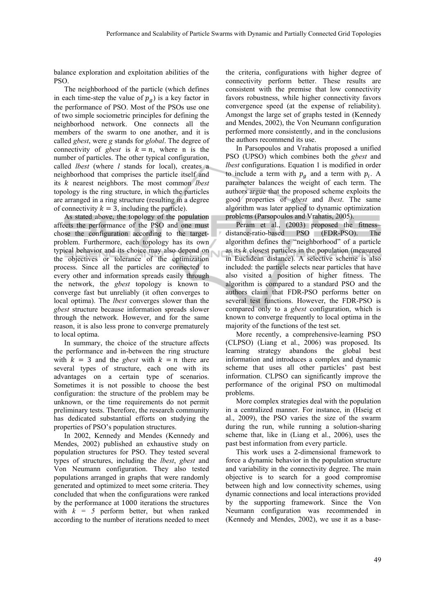balance exploration and exploitation abilities of the PSO.

The neighborhood of the particle (which defines in each time-step the value of  $p<sub>q</sub>$ ) is a key factor in the performance of PSO. Most of the PSOs use one of two simple sociometric principles for defining the neighborhood network. One connects all the members of the swarm to one another, and it is called *gbest*, were *g* stands for *global*. The degree of connectivity of *gbest* is  $k = n$ , where n is the number of particles. The other typical configuration, called *lbest* (where *l* stands for local), creates a neighborhood that comprises the particle itself and its *k* nearest neighbors. The most common *lbest* topology is the ring structure, in which the particles are arranged in a ring structure (resulting in a degree of connectivity  $k = 3$ , including the particle).

As stated above, the topology of the population affects the performance of the PSO and one must chose the configuration according to the targetproblem. Furthermore, each topology has its own typical behavior and its choice may also depend on the objectives or tolerance of the optimization process. Since all the particles are connected to every other and information spreads easily through the network, the *gbest* topology is known to converge fast but unreliably (it often converges to local optima). The *lbest* converges slower than the *gbest* structure because information spreads slower through the network. However, and for the same reason, it is also less prone to converge prematurely to local optima.

In summary, the choice of the structure affects the performance and in-between the ring structure with  $k = 3$  and the *gbest* with  $k = n$  there are several types of structure, each one with its advantages on a certain type of scenarios. Sometimes it is not possible to choose the best configuration: the structure of the problem may be unknown, or the time requirements do not permit preliminary tests. Therefore, the research community has dedicated substantial efforts on studying the properties of PSO's population structures.

In 2002, Kennedy and Mendes (Kennedy and Mendes, 2002) published an exhaustive study on population structures for PSO. They tested several types of structures, including the *lbest*, *gbest* and Von Neumann configuration. They also tested populations arranged in graphs that were randomly generated and optimized to meet some criteria. They concluded that when the configurations were ranked by the performance at 1000 iterations the structures with  $k = 5$  perform better, but when ranked according to the number of iterations needed to meet

the criteria, configurations with higher degree of connectivity perform better. These results are consistent with the premise that low connectivity favors robustness, while higher connectivity favors convergence speed (at the expense of reliability). Amongst the large set of graphs tested in (Kennedy and Mendes, 2002), the Von Neumann configuration performed more consistently, and in the conclusions the authors recommend its use.

In Parsopoulos and Vrahatis proposed a unified PSO (UPSO) which combines both the *gbest* and *lbest* configurations. Equation 1 is modified in order to include a term with  $p_q$  and a term with  $p_i$ . A parameter balances the weight of each term. The authors argue that the proposed scheme exploits the good properties of *gbest* and *lbest*. The same algorithm was later applied to dynamic optimization problems (Parsopoulos and Vrahatis, 2005).

Peram et al., (2003) proposed the fitnessdistance-ratio-based PSO (FDR-PSO). The algorithm defines the "neighborhood" of a particle as its  $k$  closest particles in the population (measured in Euclidean distance). A selective scheme is also included: the particle selects near particles that have also visited a position of higher fitness. The algorithm is compared to a standard PSO and the authors claim that FDR-PSO performs better on several test functions. However, the FDR-PSO is compared only to a *gbest* configuration, which is known to converge frequently to local optima in the majority of the functions of the test set.

More recently, a comprehensive-learning PSO (CLPSO) (Liang et al., 2006) was proposed. Its learning strategy abandons the global best information and introduces a complex and dynamic scheme that uses all other particles' past best information. CLPSO can significantly improve the performance of the original PSO on multimodal problems.

More complex strategies deal with the population in a centralized manner. For instance, in (Hseig et al., 2009), the PSO varies the size of the swarm during the run, while running a solution-sharing scheme that, like in (Liang et al., 2006), uses the past best information from every particle.

This work uses a 2-dimensional framework to force a dynamic behavior in the population structure and variability in the connectivity degree. The main objective is to search for a good compromise between high and low connectivity schemes, using dynamic connections and local interactions provided by the supporting framework. Since the Von Neumann configuration was recommended in (Kennedy and Mendes, 2002), we use it as a base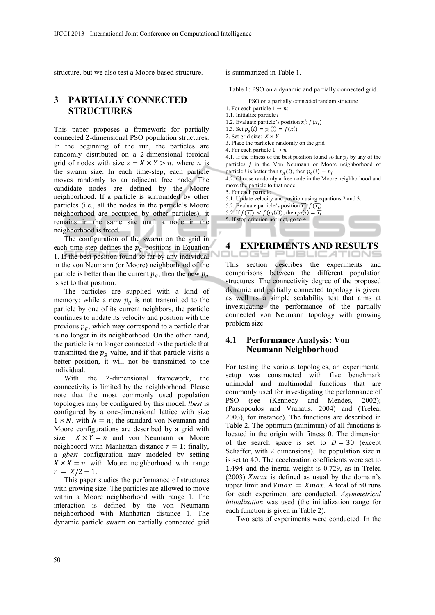structure, but we also test a Moore-based structure.

# **3 PARTIALLY CONNECTED STRUCTURES**

This paper proposes a framework for partially connected 2-dimensional PSO population structures. In the beginning of the run, the particles are randomly distributed on a 2-dimensional toroidal grid of nodes with size  $s = X \times Y > n$ , where *n* is the swarm size. In each time-step, each particle moves randomly to an adjacent free node. The candidate nodes are defined by the Moore neighborhood. If a particle is surrounded by other particles (i.e., all the nodes in the particle's Moore neighborhood are occupied by other particles), it remains in the same site until a node in the neighborhood is freed.

The configuration of the swarm on the grid in each time-step defines the  $p_g$  positions in Equation 1. If the best position found so far by any individual in the von Neumann (or Moore) neighborhood of the particle is better than the current  $p_a$ , then the new  $p_a$ is set to that position.

The particles are supplied with a kind of memory: while a new  $p_q$  is not transmitted to the particle by one of its current neighbors, the particle continues to update its velocity and position with the previous  $p_q$ , which may correspond to a particle that is no longer in its neighborhood. On the other hand, the particle is no longer connected to the particle that transmitted the  $p<sub>g</sub>$  value, and if that particle visits a better position, it will not be transmitted to the individual.

With the 2-dimensional framework, the connectivity is limited by the neighborhood. Please note that the most commonly used population topologies may be configured by this model: *lbest* is configured by a one-dimensional lattice with size  $1 \times N$ , with  $N = n$ ; the standard von Neumann and Moore configurations are described by a grid with size  $X \times Y = n$  and von Neumann or Moore neighboord with Manhattan distance  $r = 1$ ; finally, a *gbest* configuration may modeled by setting  $X \times X = n$  with Moore neighborhood with range  $r = X/2 - 1.$ 

This paper studies the performance of structures with growing size. The particles are allowed to move within a Moore neighborhood with range 1. The interaction is defined by the von Neumann neighborhood with Manhattan distance 1. The dynamic particle swarm on partially connected grid

is summarized in Table 1.

Table 1: PSO on a dynamic and partially connected grid.

- 
- 1.2. Evaluate particle's position  $\vec{x_i}$ :  $f(\vec{x_i})$ 1.3. Set  $p_a(i) = p_i(i) = f(\vec{x}_i)$

- 2. Set grid size:  $X \times Y$
- 3. Place the particles randomly on the grid
- 4. For each particle  $1 \rightarrow n$

4.1. If the fitness of the best position found so far  $p_j$  by any of the particles  $j$  in the Von Neumann or Moore neighborhood of particle *i* is better than  $p_g(i)$ , then  $p_g(i) = p_j$ 

4.2. Choose randomly a free node in the Moore neighborhood and move the particle to that node.

5. For each particle

- 5.1. Update velocity and position using equations 2 and 3.
- 5.2. Evaluate particle's position  $\vec{x_i}$ :  $f(\vec{x_i})$

5.2. If  $f(\vec{x_i}) < f(p_i(i))$ , then  $p_i(i) = \vec{x_i}$ 5. If stop criterion not met, go to 4

#### **4 EXPERIMENTS AND RESULTS**  ogs 1

This section describes the experiments and comparisons between the different population structures. The connectivity degree of the proposed dynamic and partially connected topology is given, as well as a simple scalability test that aims at investigating the performance of the partially connected von Neumann topology with growing problem size.

### **4.1 Performance Analysis: Von Neumann Neighborhood**

For testing the various topologies, an experimental setup was constructed with five benchmark unimodal and multimodal functions that are commonly used for investigating the performance of PSO (see (Kennedy and Mendes, 2002); (Parsopoulos and Vrahatis, 2004) and (Trelea, 2003), for instance). The functions are described in Table 2. The optimum (minimum) of all functions is located in the origin with fitness 0. The dimension of the search space is set to  $D = 30$  (except Schaffer, with 2 dimensions). The population size  $n$ is set to 40. The acceleration coefficients were set to 1.494 and the inertia weight is 0.729, as in Trelea (2003)  $X$ *max* is defined as usual by the domain's upper limit and  $Vmax = Xmax$ . A total of 50 runs for each experiment are conducted. *Asymmetrical initialization* was used (the initialization range for each function is given in Table 2).

Two sets of experiments were conducted. In the

PSO on a partially connected random structure

<sup>1.</sup> For each particle  $1 \rightarrow n$ : 1.1. Initialize particle  $i$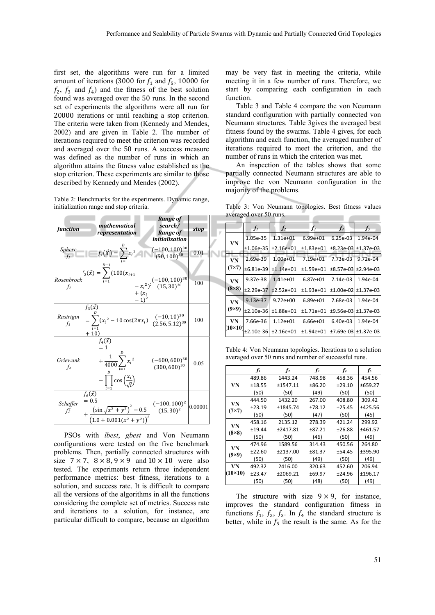first set, the algorithms were run for a limited amount of iterations (3000 for  $f_1$  and  $f_5$ , 10000 for  $f_2$ ,  $f_3$  and  $f_4$ ) and the fitness of the best solution found was averaged over the 50 runs. In the second set of experiments the algorithms were all run for 20000 iterations or until reaching a stop criterion. The criteria were taken from (Kennedy and Mendes, 2002) and are given in Table 2. The number of iterations required to meet the criterion was recorded and averaged over the 50 runs. A success measure was defined as the number of runs in which an algorithm attains the fitness value established as the stop criterion. These experiments are similar to those described by Kennedy and Mendes (2002).

Table 2: Benchmarks for the experiments. Dynamic range, initialization range and stop criteria.

| function           | mathematical<br>representation                                                                                                             | Range of<br>search/<br><b>Range of</b><br>initialization                        | stop    |
|--------------------|--------------------------------------------------------------------------------------------------------------------------------------------|---------------------------------------------------------------------------------|---------|
| Sphere<br>$f_i$    | $f_1(\vec{X}) = \sum x_i^2$                                                                                                                | $(-100, 100)^{30}$<br>$(50, 100)^{30}$                                          | 0.01    |
| f <sub>2</sub>     | Rosenbrock $f_2(\vec{x}) = \sum_{i=1}^{n} (100(x_{i+1}))$                                                                                  | $-x_i^2$ )<br>$\begin{cases}\n(-100, 100)^{30} \\ + (x_i \\ -1)^2\n\end{cases}$ | 100     |
| Rastrigin<br>$f_3$ | $f_3(\vec{x})$<br>$= \sum_{i=1}^{6} (x_i^2 - 10 \cos(2\pi x_i) \begin{bmatrix} (-10, 10)^{30} \\ (2.56, 5.12)^{30} \end{bmatrix}$<br>$+10$ |                                                                                 | 100     |
| Griewank<br>f4     | $f_4(\vec{x})$<br>$= 1$<br>$+\frac{1}{4000}\sum_{i=1}^{D}x_i^2$<br>$-\prod \cos\left(\frac{x_i}{\sqrt{i}}\right)$                          | $(-600, 600)^{30}$<br>$(300, 600)^{30}$                                         | 0.05    |
| Schaffer<br>f5     | $f_6(\vec{x})$<br>$= 0.5$<br>$+\frac{(\sin\sqrt{x^2+y^2})^2-0.5}{(1.0+0.001(x^2+y^2))^2}\Big ^{(-100,100)^2}$                              |                                                                                 | 0.00001 |

PSOs with *lbest*, *gbest* and Von Neumann configurations were tested on the five benchmark problems. Then, partially connected structures with size  $7 \times 7$ ,  $8 \times 8$ ,  $9 \times 9$  and  $10 \times 10$  were also tested. The experiments return three independent performance metrics: best fitness, iterations to a solution, and success rate. It is difficult to compare all the versions of the algorithms in all the functions considering the complete set of metrics. Success rate and iterations to a solution, for instance, are particular difficult to compare, because an algorithm

may be very fast in meeting the criteria, while meeting it in a few number of runs. Therefore, we start by comparing each configuration in each function.

Table 3 and Table 4 compare the von Neumann standard configuration with partially connected von Neumann structures. Table 3gives the averaged best fitness found by the swarms. Table 4 gives, for each algorithm and each function, the averaged number of iterations required to meet the criterion, and the number of runs in which the criterion was met.

An inspection of the tables shows that some partially connected Neumann structures are able to improve the von Neumann configuration in the majority of the problems.

Table 3: Von Neumann topologies. Best fitness values averaged over 50 runs.

| $\mathbb{F}$ |              | $f_I$       | f <sub>2</sub> | $f_3$        | $f_4$                           | $f_5$      |
|--------------|--------------|-------------|----------------|--------------|---------------------------------|------------|
|              |              | 1.05e-35    | $1.31e+01$     | $6.99e + 01$ | $6.25e-03$                      | 1.94e-04   |
|              | VN           | $±1.06e-35$ | $±2.16e+01$    | $±1.83e+01$  | $±8.23e-03I±1.37e-03$           |            |
|              | VN           | 2.69e-39    | $1.00e + 01$   | $7.19e + 01$ | 7.73e-03                        | $9.72e-04$ |
|              | $(7\times7)$ | $±6.81e-39$ | $±1.14e+01$    | $±1.59e+01$  | $\pm 8.57e - 03 \pm 2.94e - 03$ |            |
|              | VN           | 9.37e-38    | $1.41e+01$     | $6.87e + 01$ | $7.14e-03$                      | 1.94e-04   |
|              | $(8\times8)$ | $±2.29e-37$ | $±2.52e+01$    | $±1.93e+01$  | ±1.00e-02 ±1.37e-03             |            |
|              | VN           | 9.13e-37    | $9.72e + 00$   | $6.89e + 01$ | 7.68e-03                        | 1.94e-04   |
|              | $(9\times9)$ | $±2.10e-36$ | $±1.88e+01$    | $±1.71e+01$  | $±9.56e-03 ±1.37e-03$           |            |
|              | VN           | 7.66e-36    | $1.12e+01$     | $6.66e + 01$ | $6.40e-03$                      | 1.94e-04   |
|              | $10\times10$ | $±2.10e-36$ | $±2.16e+01$    | $±1.94e+01$  | $±7.69e-031±1.37e-03$           |            |

Table 4: Von Neumann topologies. Iterations to a solution averaged over 50 runs and number of successful runs.

|                | fı     | $f_2$    | $f_3$  | f4     | $f_5$   |
|----------------|--------|----------|--------|--------|---------|
|                | 489.86 | 1443.24  | 748.98 | 458.36 | 454.56  |
| VN             | ±18.55 | ±1547.11 | ±86.20 | ±29.10 | ±659.27 |
|                | (50)   | (50)     | (49)   | (50)   | (50)    |
| VN             | 444.50 | 1432.20  | 267.00 | 408.80 | 309.42  |
| $(7\times7)$   | ±23.19 | ±1845.74 | ±78.12 | ±25.45 | ±425.56 |
|                | (50)   | (50)     | (47)   | (50)   | (45)    |
| VN             | 458.16 | 2135.12  | 278.39 | 421.24 | 299.92  |
| $(8\times8)$   | ±19.44 | ±2417.81 | ±87.21 | ±26.88 | ±461.57 |
|                | (50)   | (50)     | (46)   | (50)   | (49)    |
| VN             | 474.96 | 1589.56  | 314.43 | 450.56 | 264.80  |
| $(9\times9)$   | ±22.60 | ±2137.00 | ±81.37 | ±54.45 | ±395.90 |
|                | (50)   | (50)     | (49)   | (50)   | (49)    |
| VN             | 492.32 | 2416.00  | 320.63 | 452.60 | 206.94  |
| $(10\times10)$ | ±23.47 | ±2069.21 | ±69.97 | ±24.96 | ±196.17 |
|                | (50)   | (50)     | (48)   | (50)   | (49)    |

The structure with size  $9 \times 9$ , for instance, improves the standard configuration fitness in functions  $f_1$ ,  $f_2$ ,  $f_3$ . In  $f_4$  the standard structure is better, while in  $f_5$  the result is the same. As for the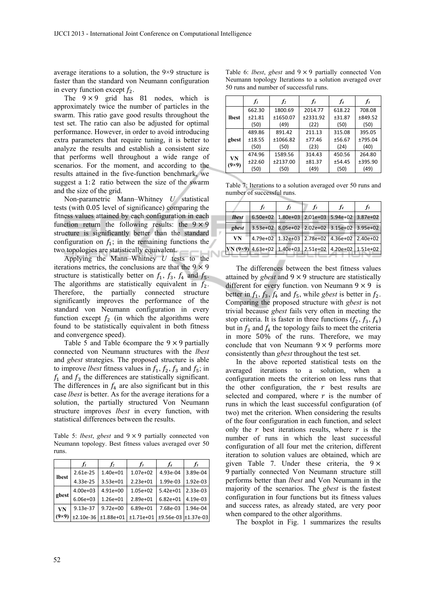average iterations to a solution, the 9×9 structure is faster than the standard von Neumann configuration in every function except  $f_2$ .

The  $9 \times 9$  grid has 81 nodes, which is approximately twice the number of particles in the swarm. This ratio gave good results throughout the test set. The ratio can also be adjusted for optimal performance. However, in order to avoid introducing extra parameters that require tuning, it is better to analyze the results and establish a consistent size that performs well throughout a wide range of scenarios. For the moment, and according to the results attained in the five-function benchmark, we suggest a  $1:2$  ratio between the size of the swarm and the size of the grid.

Non-parametric Mann–Whitney *U* statistical tests (with 0.05 level of significance) comparing the fitness values attained by each configuration in each function return the following results: the  $9 \times 9$ structure is significantly better than the standard configuration on  $f_1$ ; in the remaining functions the two topologies are statistically equivalent.

Applying the Mann–Whitney *U* tests to the iterations metrics, the conclusions are that the  $9 \times 9$ structure is statistically better on  $f_1$ ,  $f_3$ ,  $f_4$  and  $f_5$ . The algorithms are statistically equivalent in  $f_2$ . Therefore, the partially connected structure significantly improves the performance of the standard von Neumann configuration in every function except  $f_2$  (in which the algorithms were found to be statistically equivalent in both fitness and convergence speed).

Table 5 and Table 6compare the  $9 \times 9$  partially connected von Neumann structures with the *lbest* and *gbest* strategies. The proposed structure is able to improve *lbest* fitness values in  $f_1$ ,  $f_2$ ,  $f_3$  and  $f_5$ ; in  $f_1$  and  $f_3$  the differences are statistically significant. The differences in  $f_4$  are also significant but in this case *lbest* is better. As for the average iterations for a solution, the partially structured Von Neumann structure improves *lbest* in every function, with statistical differences between the results.

Table 5: *lbest*, *gbest* and  $9 \times 9$  partially connected von Neumann topology. Best fitness values averaged over 50 runs.

|              | $r_{I}$      | $f_2$        | fз           | $f_4$                    | $f_5$    |
|--------------|--------------|--------------|--------------|--------------------------|----------|
| <b>lbest</b> | 2.61e-25     | $1.40e + 01$ | $1.07e+02$   | 4.93e-04                 | 3.89e-04 |
|              | 4.33e-25     | $3.53e+01$   | $2.23e+01$   | 1.99e-03                 | 1.92e-03 |
|              | $4.00e + 03$ | $4.91e+00$   | $1.05e + 02$ | $5.42e + 01$             | 2.33e-03 |
| gbest        | $6.06e + 03$ | $1.26e + 01$ | $2.89e+01$   | $6.82e + 01$             | 4.19e-03 |
| <b>VN</b>    | 9.13e-37     | $9.72e+00$   | $6.89e + 01$ | 7.68e-03                 | 1.94e-04 |
| $(9\times9)$ | $±2.10e-36$  | $±1.88e+01$  | $±1.71e+01$  | $±9.56e-03 \pm 1.37e-03$ |          |

Table 6: *lbest*, *gbest* and  $9 \times 9$  partially connected Von Neumann topology Iterations to a solution averaged over 50 runs and number of successful runs.

|                    | fı     | f <sub>2</sub> | f3       | f4     | f5      |
|--------------------|--------|----------------|----------|--------|---------|
|                    | 662.30 | 1800.69        | 2014.77  | 618.22 | 708.08  |
| <b>lbest</b>       | ±21.81 | ±1650.07       | ±2331.92 | ±31.87 | ±849.52 |
|                    | (50)   | (49)           | (22)     | (50)   | (50)    |
|                    | 489.86 | 891.42         | 211.13   | 315.08 | 395.05  |
| gbest              | ±18.55 | ±1066.82       | ±77.46   | ±56.67 | ±795.04 |
|                    | (50)   | (50)           | (23)     | (24)   | (40)    |
|                    | 474.96 | 1589.56        | 314.43   | 450.56 | 264.80  |
| VN<br>$(9\times9)$ | ±22.60 | ±2137.00       | ±81.37   | ±54.45 | ±395.90 |
|                    | (50)   | (50)           | (49)     | (50)   | (49)    |

Table 7: Iterations to a solution averaged over 50 runs and number of successful runs.

|              |              | Jı | $\mathfrak{p}_2$                                      | $f_3$ | J <sub>4</sub> | J5 |
|--------------|--------------|----|-------------------------------------------------------|-------|----------------|----|
|              | <i>lbest</i> |    | 6.50e+02 1.80e+03 2.01e+03 5.94e+02 3.87e+02          |       |                |    |
| $\mathbb{F}$ | gbest        |    | 3.53e+02 8.05e+02 2.02e+02 3.15e+02 3.95e+02          |       |                |    |
|              | VN           |    | 4.79e+02 1.32e+03 2.78e+02 4.36e+02 2.40e+02          |       |                |    |
|              |              |    | VN (9×9) 4.63e+02 1.40e+03 2.51e+02 4.20e+02 1.51e+02 |       |                |    |
|              |              |    |                                                       |       |                |    |

The differences between the best fitness values attained by *gbest* and  $9 \times 9$  structure are statistically different for every function. von Neumann  $9 \times 9$  is better in  $f_1$ ,  $f_3$ ,  $f_4$  and  $f_5$ , while *gbest* is better in  $f_2$ . Comparing the proposed structure with *gbest* is not trivial because *gbest* fails very often in meeting the stop criteria. It is faster in three functions  $(f_2, f_3, f_4)$ but in  $f_3$  and  $f_4$  the topology fails to meet the criteria in more 50% of the runs. Therefore, we may conclude that von Neumann  $9 \times 9$  performs more consistently than *gbest* throughout the test set.

In the above reported statistical tests on the averaged iterations to a solution, when a configuration meets the criterion on less runs that the other configuration, the  $r$  best results are selected and compared, where  $r$  is the number of runs in which the least successful configuration (of two) met the criterion. When considering the results of the four configuration in each function, and select only the  $r$  best iterations results, where  $r$  is the number of runs in which the least successful configuration of all four met the criterion, different iteration to solution values are obtained, which are given Table 7. Under these criteria, the  $9 \times$ 9 partially connected Von Neumann structure still performs better than *lbest* and Von Neumann in the majority of the scenarios. The *gbest* is the fastest configuration in four functions but its fitness values and success rates, as already stated, are very poor when compared to the other algorithms.

The boxplot in Fig. 1 summarizes the results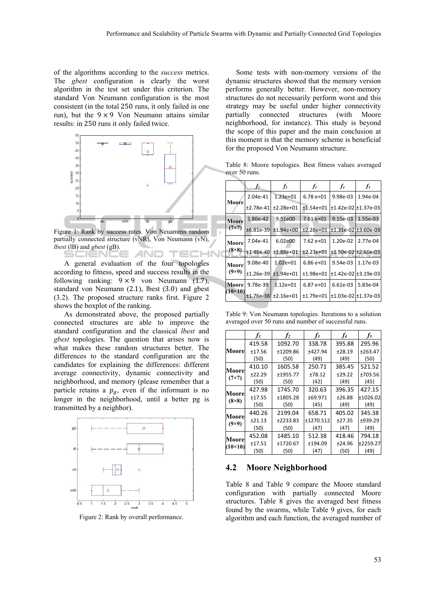of the algorithms according to the *success* metrics. The *gbest* configuration is clearly the worst algorithm in the test set under this criterion. The standard Von Neumann configuration is the most consistent (in the total 250 runs, it only failed in one run), but the  $9 \times 9$  Von Neumann attains similar results: in 250 runs it only failed twice.



Figure 1: Rank by success rates. Von Neuammn random partially connected structure (vNR), Von Neumann (vN), *lbest* (lB) and *gbest* (gB). ENC AND - - -

A general evaluation of the four topologies according to fitness, speed and success results in the following ranking:  $9 \times 9$  von Neumann (1.7), standard von Neumann (2.1), lbest (3.0) and gbest (3.2). The proposed structure ranks first. Figure 2 shows the boxplot of the ranking.

As demonstrated above, the proposed partially connected structures are able to improve the standard configuration and the classical *lbest* and *gbest* topologies. The question that arises now is what makes these random structures better. The differences to the standard configuration are the candidates for explaining the differences: different average connectivity, dynamic connectivity and neighborhood, and memory (please remember that a particle retains a  $p_a$ , even if the informant is no longer in the neighborhood, until a better pg is transmitted by a neighbor).



Figure 2: Rank by overall performance.

Some tests with non-memory versions of the dynamic structures showed that the memory version performs generally better. However, non-memory structures do not necessarily perform worst and this strategy may be useful under higher connectivity partially connected structures (with Moore neighborhood, for instance). This study is beyond the scope of this paper and the main conclusion at this moment is that the memory scheme is beneficial for the proposed Von Neumann structure.

Table 8: Moore topologies. Best fitness values averaged over 50 runs.

|                | fı          | f <sub>2</sub> | $f_3$       | $f_4$      | $f_5$                 |
|----------------|-------------|----------------|-------------|------------|-----------------------|
|                | 2.04e-41    | $1.23e+01$     | $6.78e+01$  | 9.98e-03   | 1.94e-04              |
| Moore          | $±2.78e-41$ | $±2.28e+01$    | $±1.54e+01$ |            | $±1.42e-02 ±1.37e-03$ |
| Moore          | 1.80e-42    | 9.51e00        | $7.61e+01$  | 9.15e-03   | 1.55e-03              |
| $(7\times7)$   | $±6.81e-39$ | $±1.94e+00$    | $±2.28e+01$ |            | $±1.31e-02I±3.60e-03$ |
| Moore          | 7.04e-41    | 6.02e00        | $7.62e+01$  | $1.20e-02$ | 2.77e-04              |
| $(8\times8)$   | $±1.46e-40$ | $±1.88e+01$    | $±2.23e+01$ |            | $±1.50e-02 ±2.66e-03$ |
| Moore          | 9.08e-40    | $1.02e + 01$   | $6.86e+01$  | 9.54e-03   | 1.17e-03              |
| $(9\times9)$   | $±1.26e-39$ | $±1.94e+01$    | $±1.98e+01$ |            | $±1.42e-02I±3.19e-03$ |
| Moore          | 9.78e-39    | $1.12e+01$     | $6.87e+01$  | 6.61e-03   | 5.83e-04              |
| $(10\times10)$ | $±1.76e-38$ | $±2.16e+01$    | $±1.79e+01$ |            | $±1.03e-02 ±1.37e-03$ |

Table 9: Von Neumann topologies. Iterations to a solution averaged over 50 runs and number of successful runs.

|                         | f1     | f <sub>2</sub> | $f_3$     | $f_4$  | $f_5$      |
|-------------------------|--------|----------------|-----------|--------|------------|
|                         | 419.58 | 1092.70        | 338.78    | 395.88 | 295.96     |
| Moorel                  | ±17.56 | +1209.86       | ±427.94   | ±28.19 | ±263.47    |
|                         | (50)   | (50)           | (49)      | (49)   | (50)       |
|                         | 410.10 | 1605.58        | 250.71    | 385.45 | 521.52     |
| Moore<br>$(7\times7)$   | ±22.29 | ±1955.77       | ±78.12    | ±29.22 | ±703.56    |
|                         | (50)   | (50)           | (42)      | (49)   | (45)       |
|                         | 427.98 | 1745.70        | 320.63    | 396.35 | 427.15     |
| Moore<br>$(8\times8)$   | ±17.55 | ±1805.28       | ±69.971   | ±26.88 | $+1026.02$ |
|                         | (50)   | (50)           | (45)      | (49)   | (49)       |
| Moore                   | 440.26 | 2199.04        | 658.71    | 405.02 | 345.38     |
| $(9\times9)$            | ±21.13 | ±2233.83       | ±1270.512 | ±27.35 | ±939.29    |
|                         | (50)   | (50)           | (47)      | (47)   | (49)       |
| Moore<br>$(10\times10)$ | 452.08 | 1485.10        | 512.38    | 418.46 | 794.18     |
|                         | ±17.51 | ±1720.67       | ±194.09   | ±24.96 | ±2259.27   |
|                         | (50)   | (50)           | (47)      | (50)   | (49)       |

#### **4.2 Moore Neighborhood**

Table 8 and Table 9 compare the Moore standard configuration with partially connected Moore structures. Table 8 gives the averaged best fitness found by the swarms, while Table 9 gives, for each algorithm and each function, the averaged number of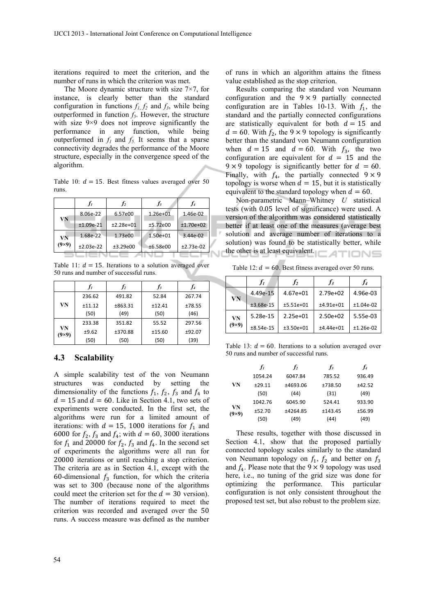iterations required to meet the criterion, and the number of runs in which the criterion was met.

The Moore dynamic structure with size 7×7, for instance, is clearly better than the standard configuration in functions  $f_1, f_2$  and  $f_3$ , while being outperformed in function  $f_5$ . However, the structure with size 9×9 does not improve significantly the performance in any function, while being outperformed in  $f_1$  and  $f_5$ . It seems that a sparse connectivity degrades the performance of the Moore structure, especially in the convergence speed of the algorithm.

Table 10:  $d = 15$ . Best fitness values averaged over 50 runs.

|            |             | I <sub>2</sub> | $f_3$        | $f_4$       |
|------------|-------------|----------------|--------------|-------------|
| VN         | 8.06e-22    | 6.57e00        | $1.26e + 01$ | 1.46e-02    |
|            | $±1.09e-21$ | $±2.28e+01$    | ±5.72e00     | $±1.70e+02$ |
| VN         | 1.68e-22    | 1.73e00        | $1.50e + 01$ | 3.44e-02    |
| $9\times9$ | $±2.03e-22$ | ±3.29e00       | ±6.58e00     | $±2.73e-02$ |
|            |             |                |              |             |

Table 11:  $d = 15$ . Iterations to a solution averaged over 50 runs and number of successful runs.

|                  |        |         | Iз     |        |
|------------------|--------|---------|--------|--------|
|                  | 236.62 | 491.82  | 52.84  | 267.74 |
| VN               | ±11.12 | ±863.31 | ±12.41 | ±78.55 |
|                  | (50)   | (49)    | (50)   | (46)   |
|                  | 233.38 | 351.82  | 55.52  | 297.56 |
| VN<br>$9\times9$ | ±9.62  | ±370.88 | ±15.60 | ±92.07 |
|                  | (50)   | (50)    | (50)   | (39)   |

### **4.3 Scalability**

A simple scalability test of the von Neumann structures was conducted by setting the dimensionality of the functions  $f_1$ ,  $f_2$ ,  $f_3$  and  $f_4$  to  $d = 15$  and  $d = 60$ . Like in Section 4.1, two sets of experiments were conducted. In the first set, the algorithms were run for a limited amount of iterations: with  $d = 15$ , 1000 iterations for  $f_1$  and 6000 for  $f_2$ ,  $f_3$  and  $f_4$ ; with  $d = 60$ , 3000 iterations for  $f_1$  and 20000 for  $f_2$ ,  $f_3$  and  $f_4$ . In the second set of experiments the algorithms were all run for 20000 iterations or until reaching a stop criterion. The criteria are as in Section 4.1, except with the 60-dimensional  $f_3$  function, for which the criteria was set to 300 (because none of the algorithms could meet the criterion set for the  $d = 30$  version). The number of iterations required to meet the criterion was recorded and averaged over the 50 runs. A success measure was defined as the number

of runs in which an algorithm attains the fitness value established as the stop criterion.

Results comparing the standard von Neumann configuration and the  $9 \times 9$  partially connected configuration are in Tables 10-13. With  $f_1$ , the standard and the partially connected configurations are statistically equivalent for both  $d = 15$  and  $d = 60$ . With  $f_2$ , the 9 × 9 topology is significantly better than the standard von Neumann configuration when  $d = 15$  and  $d = 60$ . With  $f_3$ , the two configuration are equivalent for  $d = 15$  and the  $9 \times 9$  topology is significantly better for  $d = 60$ . Finally, with  $f_4$ , the partially connected  $9 \times 9$ topology is worse when  $d = 15$ , but it is statistically equivalent to the standard topology when  $d = 60$ .

Non-parametric Mann–Whitney *U* statistical tests (with 0.05 level of significance) were used. A version of the algorithm was considered statistically better if at least one of the measures (average best solution and average number of iterations to a solution) was found to be statistically better, while the other is at least equivalent.

Table 12:  $d = 60$ . Best fitness averaged over 50 runs.

|              | $J_I$       | İ2          | $I_3$       |             |
|--------------|-------------|-------------|-------------|-------------|
|              | 4.49e-15    | $4.67e+01$  | $2.79e+02$  | 4.96e-03    |
| VN           | $±3.68e-15$ | $±5.51e+01$ | $±4.91e+01$ | $±1.04e-02$ |
| VN           | 5.28e-15    | $2.25e+01$  | $2.50e+02$  | 5.55e-03    |
| $(9\times9)$ | $±8.54e-15$ | $±3.50e+01$ | $±4.44e+01$ | $±1.26e-02$ |

Table 13:  $d = 60$ . Iterations to a solution averaged over 50 runs and number of successful runs.

|                    | fı      | f <sub>2</sub> | $f_3$   | f,     |
|--------------------|---------|----------------|---------|--------|
|                    | 1054.24 | 6047.84        | 785.52  | 936.49 |
| VN                 | ±29.11  | ±4693.06       | ±738.50 | ±42.52 |
|                    | (50)    | (44)           | (31)    | (49)   |
|                    | 1042.76 | 6045.90        | 524.41  | 933.90 |
| VN<br>$(9\times9)$ | ±52.70  | +4264.85       | ±143.45 | ±56.99 |
|                    | (50)    | (49)           | (44)    | (49)   |

These results, together with those discussed in Section 4.1, show that the proposed partially connected topology scales similarly to the standard von Neumann topology on  $f_1$ ,  $f_2$  and better on  $f_3$ and  $f_4$ . Please note that the 9  $\times$  9 topology was used here, i.e., no tuning of the grid size was done for optimizing the performance. This particular configuration is not only consistent throughout the proposed test set, but also robust to the problem size.